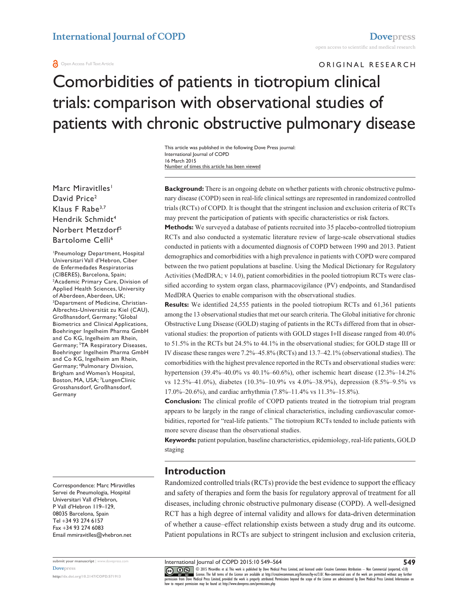#### **a** Open Access Full Text Article

ORIGINAL RESEARCH

# Comorbidities of patients in tiotropium clinical trials: comparison with observational studies of patients with chronic obstructive pulmonary disease

This article was published in the following Dove Press journal: International Journal of COPD 16 March 2015 Number of times this article has been viewed

Marc Miravitlles<sup>1</sup> David Price<sup>2</sup> Klaus F Rabe3,7 Hendrik Schmidt4 Norbert Metzdorf5 Bartolome Celli<sup>6</sup>

1 Pneumology Department, Hospital Universitari Vall d'Hebron, Ciber de Enfermedades Respiratorias (CIBERES), Barcelona, Spain; 2 Academic Primary Care, Division of Applied Health Sciences, University of Aberdeen, Aberdeen, UK; 3 Department of Medicine, Christian-Albrechts-Universität zu Kiel (CAU), Großhansdorf, Germany; 4 Global Biometrics and Clinical Applications, Boehringer Ingelheim Pharma GmbH and Co KG, Ingelheim am Rhein, Germany; <sup>5</sup>TA Respiratory Diseases, Boehringer Ingelheim Pharma GmbH and Co KG, Ingelheim am Rhein, Germany; 6 Pulmonary Division, Brigham and Women's Hospital, Boston, MA, USA; 7 LungenClinic Grosshansdorf, Großhansdorf, Germany

Correspondence: Marc Miravitlles Servei de Pneumologia, Hospital Universitari Vall d'Hebron, P Vall d'Hebron 119–129, 08035 Barcelona, Spain Tel +34 93 274 6157 Fax +34 93 274 6083 Email [mmiravitlles@vhebron.net](mailto:mmiravitlles@vhebron.net)

**submit your manuscript** | <www.dovepress.com> **[Dovepress](www.dovepress.com)**

**<http://dx.doi.org/10.2147/COPD.S71913>**

**Background:** There is an ongoing debate on whether patients with chronic obstructive pulmonary disease (COPD) seen in real-life clinical settings are represented in randomized controlled trials (RCTs) of COPD. It is thought that the stringent inclusion and exclusion criteria of RCTs may prevent the participation of patients with specific characteristics or risk factors.

**Methods:** We surveyed a database of patients recruited into 35 placebo-controlled tiotropium RCTs and also conducted a systematic literature review of large-scale observational studies conducted in patients with a documented diagnosis of COPD between 1990 and 2013. Patient demographics and comorbidities with a high prevalence in patients with COPD were compared between the two patient populations at baseline. Using the Medical Dictionary for Regulatory Activities (MedDRA; v 14.0), patient comorbidities in the pooled tiotropium RCTs were classified according to system organ class, pharmacovigilance (PV) endpoints, and Standardised MedDRA Queries to enable comparison with the observational studies.

**Results:** We identified 24,555 patients in the pooled tiotropium RCTs and 61,361 patients among the 13 observational studies that met our search criteria. The Global initiative for chronic Obstructive Lung Disease (GOLD) staging of patients in the RCTs differed from that in observational studies: the proportion of patients with GOLD stages I+II disease ranged from 40.0% to 51.5% in the RCTs but 24.5% to 44.1% in the observational studies; for GOLD stage III or IV disease these ranges were 7.2%–45.8% (RCTs) and 13.7–42.1% (observational studies). The comorbidities with the highest prevalence reported in the RCTs and observational studies were: hypertension (39.4%–40.0% vs 40.1%–60.6%), other ischemic heart disease (12.3%–14.2% vs 12.5%–41.0%), diabetes (10.3%–10.9% vs 4.0%–38.9%), depression (8.5%–9.5% vs 17.0%–20.6%), and cardiac arrhythmia (7.8%–11.4% vs 11.3%–15.8%).

**Conclusion:** The clinical profile of COPD patients treated in the tiotropium trial program appears to be largely in the range of clinical characteristics, including cardiovascular comorbidities, reported for "real-life patients." The tiotropium RCTs tended to include patients with more severe disease than the observational studies.

**Keywords:** patient population, baseline characteristics, epidemiology, real-life patients, GOLD staging

## **Introduction**

Randomized controlled trials (RCTs) provide the best evidence to support the efficacy and safety of therapies and form the basis for regulatory approval of treatment for all diseases, including chronic obstructive pulmonary disease (COPD). A well-designed RCT has a high degree of internal validity and allows for data-driven determination of whether a cause–effect relationship exists between a study drug and its outcome. Patient populations in RCTs are subject to stringent inclusion and exclusion criteria,

International Journal of COPD 2015:10 549–564

**549**

CO ODIS Miravitles et al. This work is published by Dove Medical Press Limited, and licensed under Creative Commons Attribution - Non Commercial (unported, v3.0)<br> [permission from Dove M](http://www.dovepress.com/permissions.php)edical Press Limited, provided the wo how to request permission may be found at: http://www.dovepress.com/permissions.php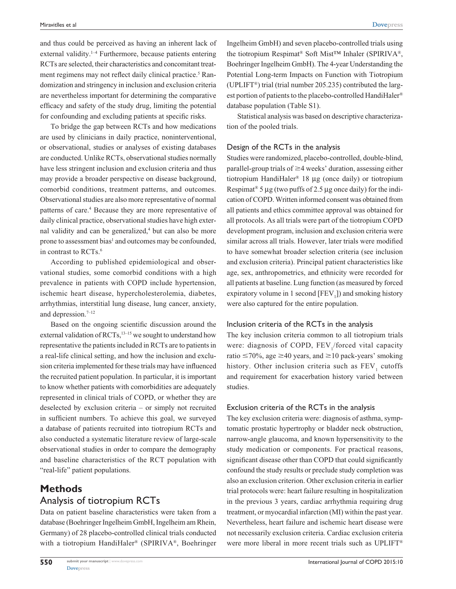**[Dovepress](www.dovepress.com)**

and thus could be perceived as having an inherent lack of external validity.<sup>1-4</sup> Furthermore, because patients entering RCTs are selected, their characteristics and concomitant treatment regimens may not reflect daily clinical practice.<sup>5</sup> Randomization and stringency in inclusion and exclusion criteria are nevertheless important for determining the comparative efficacy and safety of the study drug, limiting the potential for confounding and excluding patients at specific risks.

To bridge the gap between RCTs and how medications are used by clinicians in daily practice, noninterventional, or observational, studies or analyses of existing databases are conducted. Unlike RCTs, observational studies normally have less stringent inclusion and exclusion criteria and thus may provide a broader perspective on disease background, comorbid conditions, treatment patterns, and outcomes. Observational studies are also more representative of normal patterns of care.<sup>4</sup> Because they are more representative of daily clinical practice, observational studies have high external validity and can be generalized,<sup>4</sup> but can also be more prone to assessment bias<sup>1</sup> and outcomes may be confounded, in contrast to RCTs.<sup>6</sup>

According to published epidemiological and observational studies, some comorbid conditions with a high prevalence in patients with COPD include hypertension, ischemic heart disease, hypercholesterolemia, diabetes, arrhythmias, interstitial lung disease, lung cancer, anxiety, and depression.7–12

Based on the ongoing scientific discussion around the external validation of RCTs,<sup>13-15</sup> we sought to understand how representative the patients included in RCTs are to patients in a real-life clinical setting, and how the inclusion and exclusion criteria implemented for these trials may have influenced the recruited patient population. In particular, it is important to know whether patients with comorbidities are adequately represented in clinical trials of COPD, or whether they are deselected by exclusion criteria – or simply not recruited in sufficient numbers. To achieve this goal, we surveyed a database of patients recruited into tiotropium RCTs and also conducted a systematic literature review of large-scale observational studies in order to compare the demography and baseline characteristics of the RCT population with "real-life" patient populations.

# **Methods**

## Analysis of tiotropium RCTs

Data on patient baseline characteristics were taken from a database (Boehringer Ingelheim GmbH, Ingelheim am Rhein, Germany) of 28 placebo-controlled clinical trials conducted with a tiotropium HandiHaler® (SPIRIVA®, Boehringer

Ingelheim GmbH) and seven placebo-controlled trials using the tiotropium Respimat® Soft Mist™ Inhaler (SPIRIVA®, Boehringer Ingelheim GmbH). The 4-year Understanding the Potential Long-term Impacts on Function with Tiotropium (UPLIFT®) trial (trial number 205.235) contributed the largest portion of patients to the placebo-controlled HandiHaler® database population (Table S1).

Statistical analysis was based on descriptive characterization of the pooled trials.

#### Design of the RCTs in the analysis

Studies were randomized, placebo-controlled, double-blind, parallel-group trials of  $\geq$ 4 weeks' duration, assessing either tiotropium HandiHaler® 18 µg (once daily) or tiotropium Respimat<sup>®</sup> 5  $\mu$ g (two puffs of 2.5  $\mu$ g once daily) for the indication of COPD. Written informed consent was obtained from all patients and ethics committee approval was obtained for all protocols. As all trials were part of the tiotropium COPD development program, inclusion and exclusion criteria were similar across all trials. However, later trials were modified to have somewhat broader selection criteria (see inclusion and exclusion criteria). Principal patient characteristics like age, sex, anthropometrics, and ethnicity were recorded for all patients at baseline. Lung function (as measured by forced expiratory volume in 1 second [FEV<sub>1</sub>]) and smoking history were also captured for the entire population.

#### Inclusion criteria of the RCTs in the analysis

The key inclusion criteria common to all tiotropium trials were: diagnosis of COPD, FEV<sub>1</sub>/forced vital capacity ratio  $\leq 70\%$ , age  $\geq 40$  years, and  $\geq 10$  pack-years' smoking history. Other inclusion criteria such as  $\text{FEV}_1$  cutoffs and requirement for exacerbation history varied between studies.

#### Exclusion criteria of the RCTs in the analysis

The key exclusion criteria were: diagnosis of asthma, symptomatic prostatic hypertrophy or bladder neck obstruction, narrow-angle glaucoma, and known hypersensitivity to the study medication or components. For practical reasons, significant disease other than COPD that could significantly confound the study results or preclude study completion was also an exclusion criterion. Other exclusion criteria in earlier trial protocols were: heart failure resulting in hospitalization in the previous 3 years, cardiac arrhythmia requiring drug treatment, or myocardial infarction (MI) within the past year. Nevertheless, heart failure and ischemic heart disease were not necessarily exclusion criteria. Cardiac exclusion criteria were more liberal in more recent trials such as UPLIFT®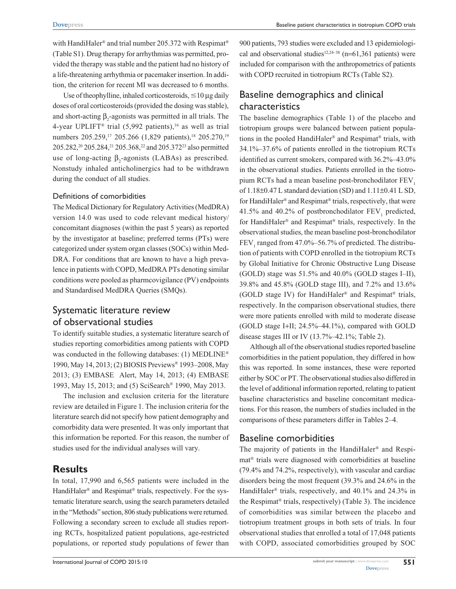with HandiHaler<sup>®</sup> and trial number 205.372 with Respimat<sup>®</sup> (Table S1). Drug therapy for arrhythmias was permitted, provided the therapy was stable and the patient had no history of a life-threatening arrhythmia or pacemaker insertion. In addition, the criterion for recent MI was decreased to 6 months.

Use of theophylline, inhaled corticosteroids,  $\leq 10 \mu$ g daily doses of oral corticosteroids (provided the dosing was stable), and short-acting  $\beta_2$ -agonists was permitted in all trials. The 4-year UPLIFT® trial  $(5,992 \text{ patients})$ ,<sup>16</sup> as well as trial numbers 205.259,<sup>17</sup> 205.266 (1,829 patients),<sup>18</sup> 205.270,<sup>19</sup> 205.282,<sup>20</sup> 205.284,<sup>21</sup> 205.368,<sup>22</sup> and 205.372<sup>23</sup> also permitted use of long-acting  $\beta_2$ -agonists (LABAs) as prescribed. Nonstudy inhaled anticholinergics had to be withdrawn during the conduct of all studies.

#### Definitions of comorbidities

The Medical Dictionary for Regulatory Activities (MedDRA) version 14.0 was used to code relevant medical history/ concomitant diagnoses (within the past 5 years) as reported by the investigator at baseline; preferred terms (PTs) were categorized under system organ classes (SOCs) within Med-DRA. For conditions that are known to have a high prevalence in patients with COPD, MedDRA PTs denoting similar conditions were pooled as pharmcovigilance (PV) endpoints and Standardised MedDRA Queries (SMQs).

# Systematic literature review of observational studies

To identify suitable studies, a systematic literature search of studies reporting comorbidities among patients with COPD was conducted in the following databases: (1) MEDLINE® 1990, May 14, 2013; (2) BIOSIS Previews® 1993–2008, May 2013; (3) EMBASE Alert, May 14, 2013; (4) EMBASE 1993, May 15, 2013; and (5) SciSearch® 1990, May 2013.

The inclusion and exclusion criteria for the literature review are detailed in Figure 1. The inclusion criteria for the literature search did not specify how patient demography and comorbidity data were presented. It was only important that this information be reported. For this reason, the number of studies used for the individual analyses will vary.

## **Results**

In total, 17,990 and 6,565 patients were included in the HandiHaler® and Respimat® trials, respectively. For the systematic literature search, using the search parameters detailed in the "Methods" section, 806 study publications were returned. Following a secondary screen to exclude all studies reporting RCTs, hospitalized patient populations, age-restricted populations, or reported study populations of fewer than 900 patients, 793 studies were excluded and 13 epidemiological and observational studies<sup>12,24–38</sup> (n=61,361 patients) were included for comparison with the anthropometrics of patients with COPD recruited in tiotropium RCTs (Table S2).

# Baseline demographics and clinical characteristics

The baseline demographics (Table 1) of the placebo and tiotropium groups were balanced between patient populations in the pooled HandiHaler® and Respimat® trials, with 34.1%–37.6% of patients enrolled in the tiotropium RCTs identified as current smokers, compared with 36.2%–43.0% in the observational studies. Patients enrolled in the tiotropium RCTs had a mean baseline post-bronchodilator FEV. of 1.18±0.47 L standard deviation (SD) and 1.11±0.41 L SD, for HandiHaler® and Respimat® trials, respectively, that were 41.5% and 40.2% of postbronchodilator  $FEV<sub>1</sub>$  predicted, for HandiHaler® and Respimat® trials, respectively. In the observational studies, the mean baseline post-bronchodilator  $FEV<sub>1</sub>$  ranged from 47.0%–56.7% of predicted. The distribution of patients with COPD enrolled in the tiotropium RCTs by Global Initiative for Chronic Obstructive Lung Disease (GOLD) stage was 51.5% and 40.0% (GOLD stages I–II), 39.8% and 45.8% (GOLD stage III), and 7.2% and 13.6% (GOLD stage IV) for HandiHaler® and Respimat® trials, respectively. In the comparison observational studies, there were more patients enrolled with mild to moderate disease (GOLD stage I+II; 24.5%–44.1%), compared with GOLD disease stages III or IV  $(13.7\% - 42.1\% ;$  Table 2).

Although all of the observational studies reported baseline comorbidities in the patient population, they differed in how this was reported. In some instances, these were reported either by SOC or PT. The observational studies also differed in the level of additional information reported, relating to patient baseline characteristics and baseline concomitant medications. For this reason, the numbers of studies included in the comparisons of these parameters differ in Tables 2–4.

## Baseline comorbidities

The majority of patients in the HandiHaler® and Respimat® trials were diagnosed with comorbidities at baseline (79.4% and 74.2%, respectively), with vascular and cardiac disorders being the most frequent (39.3% and 24.6% in the HandiHaler® trials, respectively, and 40.1% and 24.3% in the Respimat® trials, respectively) (Table 3). The incidence of comorbidities was similar between the placebo and tiotropium treatment groups in both sets of trials. In four observational studies that enrolled a total of 17,048 patients with COPD, associated comorbidities grouped by SOC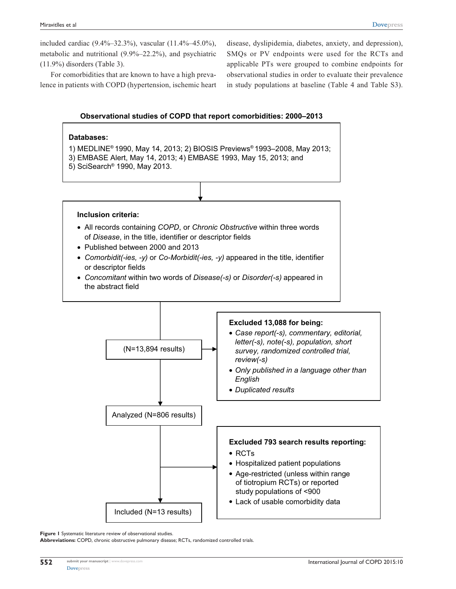included cardiac (9.4%–32.3%), vascular (11.4%–45.0%), metabolic and nutritional (9.9%–22.2%), and psychiatric (11.9%) disorders (Table 3).

For comorbidities that are known to have a high prevalence in patients with COPD (hypertension, ischemic heart disease, dyslipidemia, diabetes, anxiety, and depression), SMQs or PV endpoints were used for the RCTs and applicable PTs were grouped to combine endpoints for observational studies in order to evaluate their prevalence in study populations at baseline (Table 4 and Table S3).

## **Observational studies of COPD that report comorbidities: 2000–2013**

### **Databases:**

1) MEDLINE® 1990, May 14, 2013; 2) BIOSIS Previews® 1993–2008, May 2013;

- 3) EMBASE Alert, May 14, 2013; 4) EMBASE 1993, May 15, 2013; and
- 5) SciSearch® 1990, May 2013.

#### **Inclusion criteria:**

- All records containing *COPD*, or *Chronic Obstructive* within three words of *Disease*, in the title, identifier or descriptor fields
- Published between 2000 and 2013
- *Comorbidit(-ies, -y)* or *Co-Morbidit(-ies, -y)* appeared in the title, identifier or descriptor fields
- *Concomitant* within two words of *Disease(-s)* or *Disorder(-s)* appeared in the abstract field



**Figure 1** Systematic literature review of observational studies.

**Abbreviations:** COPD, chronic obstructive pulmonary disease; RCTs, randomized controlled trials.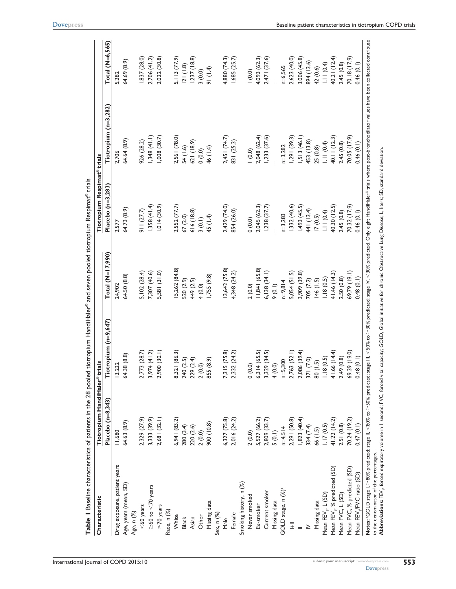| Drug exposure, patient years<br>Characteristic |                   | Tiotropium HandiHaler <sup>®</sup> trials               |                    | Tiotropium Respimat <sup>®</sup> trials |                      |                   |
|------------------------------------------------|-------------------|---------------------------------------------------------|--------------------|-----------------------------------------|----------------------|-------------------|
|                                                | Placebo (n=8,343) | Tiotropium (n=9,647)                                    | $Total (N=17,990)$ | Placebo (n=3,283)                       | Tiotropium (n=3,282) | Total $(N=6,565)$ |
|                                                | 11,680            | 13,222                                                  | 24,902             | 2,577                                   | 2,706                | 5,282             |
| Age, years (mean, SD)                          | 64.63 (8.9)       | 64.38 (8.8)                                             | 64.50 (8.8)        | 64.73 (8.9)                             | 64.64 (8.9)          | 64.69 (8.9)       |
| Age, n (%)                                     |                   |                                                         |                    |                                         |                      |                   |
| $<$ 60 years                                   | 2,329 (27.9)      | 2,773 (28.7)                                            | 5, 102 (28.4)      | 911 (27.7)                              | 926 (28.2)           | ,837 (28.0)       |
| $\geq 60$ to $\lt 70$ years                    | 3,333 (39.9)      | 3,974(41.2)                                             | 7,307 (40.6)       | 1,358(41.4)                             | 1,348(41.1)          | 2,706 (41.2)      |
| $\geq$ 70 years                                | 2,681 (32.1)      | 2,900 (30.1)                                            | 5,581 (31.0)       | (0.014)(30.9)                           | $1,008$ $(30.7)$     | 2,022 (30.8)      |
| Race, n (%)                                    |                   |                                                         |                    |                                         |                      |                   |
| White                                          | 6,941 (83.2)      | 8,321 (86.3)                                            | 5,262 (84.8)       | 2,552 (77.7)                            | 2,561 (78.0)         | 5, 113 (77.9)     |
| <b>Black</b>                                   | 280(3.4)          | 240 (2.5)                                               | 520 (2.9)          | 67 (2.0)                                | 54 (1.6)             | 121(1.8)          |
| Asian                                          | 220 (2.6)         | 229 (2.4)                                               | 449 (2.5)          | 616 (18.8)                              | 621(18.9)            | 1,237 (18.8)      |
| 2(0.0)<br>Other                                |                   | 2(0.0)                                                  | 4(0.0)             | 3(0.1)                                  | (0.0)0               | 3(0.0)            |
| Missing data                                   | 900 (10.8)        | 855 (8.9)                                               | 1,755(9.8)         | 45 (1.4)                                | 46 (1.4)             | 91 (1.4)          |
| Sex, n (%)                                     |                   |                                                         |                    |                                         |                      |                   |
| Male                                           | 6,327 (75.8)      | 7,315 (75.8)                                            | 3,642(75.8)        | 2,429 (74.0)                            | 2,451(74.7)          | 4,880 (74.3)      |
| Female                                         | 2,016 (24.2)      | 2,332 (24.2)                                            | 4,348 (24.2)       | 854 (26.0)                              | 831 (25.3)           | 1,685(25.7)       |
| Smoking history, n (%)                         |                   |                                                         |                    |                                         |                      |                   |
| Never smoked                                   | 2(0.0)            |                                                         | 2(0.0)             | (0.0)                                   | (0.0)                | (0.0)             |
| Ex-smoker                                      | 5,527 (66.2)      | $\begin{array}{c} 0 & (0.0) \\ 6.314 & (6) \end{array}$ | 11,841 (65.8)      | 2,045 (62.3)                            | 2,048 (62.4)         | 4,093 (62.3)      |
| Current smoker                                 | 2,809 (33.7)      | $6,314(65.5)$<br>3,329 (34.5)                           | 6,138 (34.1)       | (37.7)                                  | (37.6)               | 2,471 (37.6)      |
| Missing data                                   | 5(0.1)            | 4(0.0)                                                  | 9(0.1)             |                                         |                      |                   |
| GOLD stage, n (%) <sup>a</sup>                 | $n=4,514$         | $n = 5,300$                                             | $n=9,814$          | $n = 3,283$                             | $n=3,282$            | $n=6,565$         |
| $\overline{\overline{\pm}}$                    | 2,291 (50.8)      | 2,763 (52.1)                                            | 5,054 (51.5)       | , 332(40.6)                             | 1,291(39.3)          | 2,623 (40.0)      |
|                                                | 1,823(40.4)       | 2,086 (39.4)                                            | 3,909 (39.8)       | ,493 (45.5)                             | 1,513(46.1)          | 3,006 (45.8)      |
|                                                | 334 (7.4)         | 371 (7.0)                                               | 705 (7.2)          | 441 (13.4)                              | 453 (13.8)           | 894 (13.6)        |
| Missing data                                   | 66 (1.5)          | 80(1.5)                                                 | 146(1.5)           | (7(0.5))                                | 25(0.8)              | 42 (0.6)          |
|                                                | 1.17(0.5)         | 1.18(0.5)                                               | 1.18(0.5)          | 1.11(0.4)                               | 1.11(0.4)            | 1.11(0.4)         |
| Mean FEV, L (SD)<br>Mean FEV, % predicted (SD) | 41.22 (14.2)      | 41.66 (14.4)                                            | 41.46 (14.3)       | 40.30 (12.5)                            | 40.11(12.3)          | 40.21 (12.4)      |
| Mean FVC, L (SD)                               | 2.51(0.8)         | 2.49(0.8)                                               | 2.50 (0.8)         | 2.45 (0.8)                              | 2.45(0.8)            | 2.45(0.8)         |
| Mean FVC, % predicted (SD)                     | 70.24 (19.2)      | 69.39 (19.0)                                            | (161) 62'69        | 70.32 (17.9)                            | 70.05 (17.9)         | 70.18 (17.9)      |
| Mean FEV, FVC ratio (SD)                       | 0.47(0.1)         | 0.48(0.1)                                               | 0.48(0.1)          | 0.46(0.1)                               | 0.46(0.1)            | 0.46(0.1)         |

**[Dovepress](www.dovepress.com)**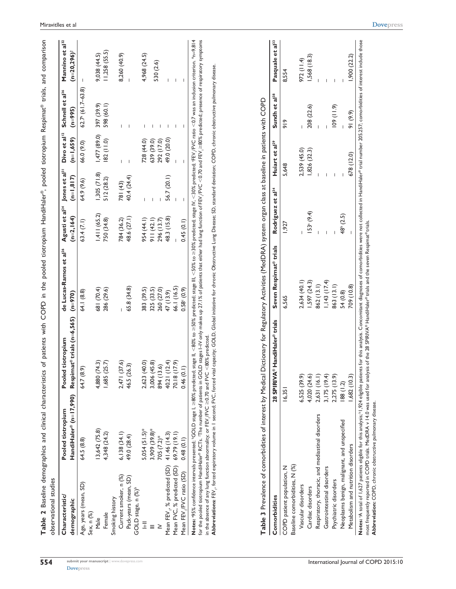| Characteristic/                         | Pooled tiotropium | HandiHaler® (n=17,990) Respimat® trials (n=6,565) (n=970)<br>Pooled tiotropium | de Lucas-Ramos et al <sup>26</sup> | Agusti et al <sup>24</sup> Jones et al <sup>31</sup> |              | $(n=1,659)$ | Divo et al <sup>12</sup> Schnell et al <sup>36</sup> | Mannino et al <sup>32</sup> |
|-----------------------------------------|-------------------|--------------------------------------------------------------------------------|------------------------------------|------------------------------------------------------|--------------|-------------|------------------------------------------------------|-----------------------------|
| demographic                             |                   |                                                                                |                                    | $(n=2, 164)$                                         | $(n=1, 817)$ |             | $(n=995)$                                            | $(n=20, 296)$               |
| Age, years (mean, SD)                   | 64.5 (8.8)        | 64.7 (8.9)                                                                     | 64.1 (8.8)                         | 63.4(7.1)                                            | 64.9 (9.6)   | 66.0 (9.0)  | $62.7^{\circ}$ (61.7-63.8)                           | I.                          |
| Sex, n (%)                              |                   |                                                                                |                                    |                                                      |              |             |                                                      |                             |
| Male                                    | 13,642(75.8)      | (74.3)<br>4,880                                                                | 681 (70.4)                         | 1,411(65.2)                                          | 1,305(71.8)  | (0.68) 1/1/ | 397 (39.9)                                           | 9,038 (44.5)                |
| Female                                  | 4,348 (24.2)      | (25.7)<br>1,685                                                                | 286 (29.6)                         | 750 (34.8)                                           | 512 (28.2)   | 182 (11.0)  | 598 (60.1)                                           | $11,258$ $(55.5)$           |
| Smoking history                         |                   |                                                                                |                                    |                                                      |              |             |                                                      |                             |
| Current smoker, n (%)                   | 6,138(34.1)       | 2,471 (37.6)                                                                   |                                    | 784 (36.2)                                           | 781 (43)     | ı           | ı                                                    | 8,260 (40.9)                |
| Pack-years (mean, SD)                   | 49.0 (28.4)       | 46.5 (26.3)                                                                    | 65.8 (34.8)                        | 48.6 (27.1)                                          | 40.4 (24.4)  |             |                                                      |                             |
| GOLD stage, n (%) <sup>b</sup>          |                   |                                                                                |                                    |                                                      |              |             |                                                      |                             |
| Ī                                       | 5,054 (51.5)*     | (40.0)<br>2,623                                                                | 383 (39.5)                         | 954 (44.1)                                           |              | 728 (44.0)  |                                                      | 4,968 (24.5)                |
|                                         | 3,909 (39.8)*     | (45.8)<br>3,006                                                                | 325 (33.5)                         | 911(42.1)                                            | ı            | 639 (39.0)  |                                                      |                             |
|                                         | 705 (7.2)*        | 894 (13.6)                                                                     | 260 (27.0)                         | 296 (13.7)                                           |              | 292 (17.0)  |                                                      | 530 (2.6)                   |
| Mean FEV, % predicted (SD)              | 41.46 (14.3)      | (12.4)<br>40.21 (                                                              | 47 (13.9)                          | 48.3 (15.8)                                          | 56.7 (20.1)  | 49.0 (20.0) |                                                      | Ï                           |
| Mean FVC, % predicted (SD) 69.79 (19.1) |                   | (17.9)<br>70.18                                                                | 66.1 (16.5)                        |                                                      |              |             |                                                      |                             |
| Mean FEV /FVC ratio (SD)                | 0.48(0.1)         | 0.46(0.1)                                                                      | 0.58(0.9)                          | 0.45(0.1)                                            |              | Ī           |                                                      |                             |

in the absence of any lung function abnormality, or EV,/FVC ≥0.70 and FVC <80% predicted.<br>In the absence of any lung function abnormality, or EV,/FVC ≥0.70 and FVC <80% predicted.<br>**Abbreviations:** FEV,, forced expiratory v **Abbreviations: <code>FEV1, forced expiratory volume in 1 second; FVC, forced vital capacity; GOLD, Global initiative for chronic Obstructive Lung Disease; SD, standard deviation; COPD, chronic obstructive pulmonary disease.**</code> in the absence of any lung function abnormality; or FEV  $/$ FVC  $\geq$ 0.70 and FVC  $\leq$ 80% predicted.

| Comorbidities                                               | 28 SPIRIVA® HandiHaler® trials | Seven Respimat® trials Rodríguez et al <sup>34</sup> |                       | Huiart et al <sup>29</sup> | Sundh et al <sup>38</sup> | Pasquale et al <sup>33</sup> |
|-------------------------------------------------------------|--------------------------------|------------------------------------------------------|-----------------------|----------------------------|---------------------------|------------------------------|
| Baseline comorbidities, N (%)<br>COPD patient population, N | 16351                          | 6.565                                                | ,927                  | 5.648                      | $\frac{6}{6}$             | 8.554                        |
| Vascular disorders                                          | 6,525 (39.9)                   | 2,634 (40.1)                                         | I                     | 2,539 (45.0)               | I                         | 972 (11.4)                   |
| Cardiac disorders                                           | 4,020 (24.6)                   | ,597 (24.3)                                          | $153^{\circ}$ (9.4)   | 1,826 (32.3)               | 208 (22.6)                | 1,568(18.3)                  |
| Respiratory, thoracic, and mediastinal disorders            | 2,631 (16.1)                   | 862 (13.1)                                           |                       |                            |                           |                              |
| Gastrointestinal disorders                                  | 3,175 (19.4)                   | 1,143 (17.4)                                         |                       |                            |                           |                              |
| Psychiatric disorders                                       | 2,275 (13.9)                   | 863 (13.1)                                           |                       | Ī                          | (6.119)                   |                              |
| Neoplasms benign, malignant, and unspecified                | 188(1.2)                       | 54 (0.8)                                             | 48 <sup>t</sup> (2.5) |                            |                           |                              |
| Metabolism and nutrition disorders                          | ,682 (10.3)                    | 709 (10.8)                                           |                       | 678 (12.0)                 | 91 (9.9)                  | 1,900(22.2)                  |

Notes: 'A total of 1,627 patients eligble for this analysis; 1,924 eligible patients for this analysis. Concomitant diagnoses of comorbidities were not collected in HandiHaler® trial number 205.257; comorbidities of intere number trial Notes: 'A total of 1,627 patients eligible for this analysis; <sup>h</sup>.1,924 eligible patients for this analysis. Concomitant diagnoses of comorbidities were not collected in HandiHaler<sup>8</sup><br>most frequently reported in COPD trial most frequently reported in COPD trials. MedDRA v 14.0 was used for analysis of the 28 SPIRIVA® HandiHaler® trials and the seven Respimat® trials.

**Abbreviation:** COPD, chronic obstructive pulmonary disease.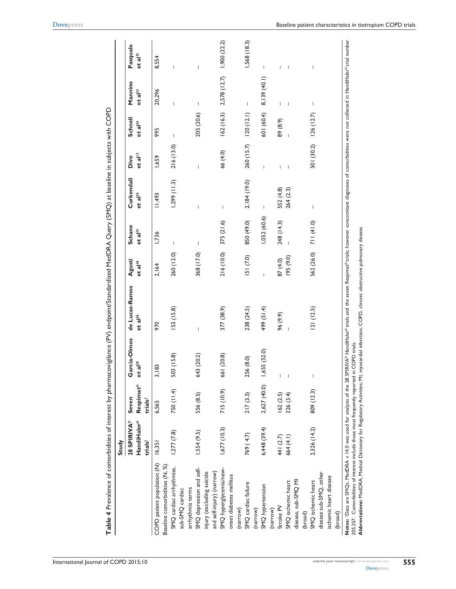|                                                                                                                                                                                                                                                                                                                                                                                                      | Study                              |                                  |                             |                                                                     |                        |                          |                                                                                                                                                                                                                                                                                                                                                                                  |                          |                          |                                                                                                                                                                                                                                                                                                                                                                                  |                                |
|------------------------------------------------------------------------------------------------------------------------------------------------------------------------------------------------------------------------------------------------------------------------------------------------------------------------------------------------------------------------------------------------------|------------------------------------|----------------------------------|-----------------------------|---------------------------------------------------------------------|------------------------|--------------------------|----------------------------------------------------------------------------------------------------------------------------------------------------------------------------------------------------------------------------------------------------------------------------------------------------------------------------------------------------------------------------------|--------------------------|--------------------------|----------------------------------------------------------------------------------------------------------------------------------------------------------------------------------------------------------------------------------------------------------------------------------------------------------------------------------------------------------------------------------|--------------------------------|
|                                                                                                                                                                                                                                                                                                                                                                                                      | 28 SPIRIVA®                        | Seven                            | García-Olmos                | de Lucas-Ramos                                                      | Agusti                 | <b>Schane</b>            | Curkendall                                                                                                                                                                                                                                                                                                                                                                       | Divo                     | Schnell                  | Mannino                                                                                                                                                                                                                                                                                                                                                                          | Pasquale                       |
|                                                                                                                                                                                                                                                                                                                                                                                                      | HandiHaler®<br>trials <sup>t</sup> | Respimat <sup>®</sup><br>trialsi | $a^{28}$<br>ã               | et al <sup>26</sup>                                                 | et al <sup>24</sup>    | $et$ al <sup>35</sup>    | et al <sup>25</sup>                                                                                                                                                                                                                                                                                                                                                              | et al <sup>12</sup>      | et al <sup>36</sup>      | et al <sup>32</sup>                                                                                                                                                                                                                                                                                                                                                              | et al <sup>33</sup>            |
| COPD patient population (N)                                                                                                                                                                                                                                                                                                                                                                          | 16,351                             | 6,565                            | $\frac{83}{2}$<br>$\hat{m}$ | 970                                                                 | 2,164                  | 1,736                    | 11,493                                                                                                                                                                                                                                                                                                                                                                           | 1,659                    | 995                      | 20,296                                                                                                                                                                                                                                                                                                                                                                           | 8,554                          |
| Baseline comorbidities (N, %)                                                                                                                                                                                                                                                                                                                                                                        |                                    |                                  |                             |                                                                     |                        |                          |                                                                                                                                                                                                                                                                                                                                                                                  |                          |                          |                                                                                                                                                                                                                                                                                                                                                                                  |                                |
| SMQ cardiac arrhythmias,<br>sub-SMQ cardiac                                                                                                                                                                                                                                                                                                                                                          | 1,277(7.8)                         | 750 (11.4)                       | 503 (15.8)                  | 153 (15.8)                                                          | 260 (12.0)             | $\overline{\phantom{a}}$ | $1,299$ ( $11.3$ )                                                                                                                                                                                                                                                                                                                                                               | 216 (13.0)               | $\overline{\phantom{a}}$ | I                                                                                                                                                                                                                                                                                                                                                                                | I                              |
| arrhythmia terms                                                                                                                                                                                                                                                                                                                                                                                     |                                    |                                  |                             |                                                                     |                        |                          |                                                                                                                                                                                                                                                                                                                                                                                  |                          |                          |                                                                                                                                                                                                                                                                                                                                                                                  |                                |
| SMQ depression and self-                                                                                                                                                                                                                                                                                                                                                                             | 1,554 (9.5)                        | 556 (8.5)                        | 643 (20.2)                  | $\overline{\phantom{a}}$                                            | 368 (17.0)             | $\overline{1}$           | I                                                                                                                                                                                                                                                                                                                                                                                | $\overline{\phantom{a}}$ | 205 (20.6)               | $\mathbf{I}$                                                                                                                                                                                                                                                                                                                                                                     | $\overline{\phantom{a}}$       |
| injury (excluding suicide                                                                                                                                                                                                                                                                                                                                                                            |                                    |                                  |                             |                                                                     |                        |                          |                                                                                                                                                                                                                                                                                                                                                                                  |                          |                          |                                                                                                                                                                                                                                                                                                                                                                                  |                                |
| and self-injury) (narrow)                                                                                                                                                                                                                                                                                                                                                                            |                                    |                                  |                             |                                                                     |                        |                          |                                                                                                                                                                                                                                                                                                                                                                                  |                          |                          |                                                                                                                                                                                                                                                                                                                                                                                  |                                |
| SMQ hyperglycemia/new-                                                                                                                                                                                                                                                                                                                                                                               | 1,677(10.3)                        | 715 (10.9)                       | 661 (20.8)                  | 377 (38.9)                                                          | $216(10.0)$ 375 (21.6) |                          | $\begin{array}{c} \rule{0pt}{2.5ex} \rule{0pt}{2.5ex} \rule{0pt}{2.5ex} \rule{0pt}{2.5ex} \rule{0pt}{2.5ex} \rule{0pt}{2.5ex} \rule{0pt}{2.5ex} \rule{0pt}{2.5ex} \rule{0pt}{2.5ex} \rule{0pt}{2.5ex} \rule{0pt}{2.5ex} \rule{0pt}{2.5ex} \rule{0pt}{2.5ex} \rule{0pt}{2.5ex} \rule{0pt}{2.5ex} \rule{0pt}{2.5ex} \rule{0pt}{2.5ex} \rule{0pt}{2.5ex} \rule{0pt}{2.5ex} \rule{0$ | 66 (4.0)                 |                          | $162(16.3)$ 2,578 $(12.7)$ 1,900 $(22.2)$                                                                                                                                                                                                                                                                                                                                        |                                |
| onset diabetes mellitus                                                                                                                                                                                                                                                                                                                                                                              |                                    |                                  |                             |                                                                     |                        |                          |                                                                                                                                                                                                                                                                                                                                                                                  |                          |                          |                                                                                                                                                                                                                                                                                                                                                                                  |                                |
| (narrow)                                                                                                                                                                                                                                                                                                                                                                                             |                                    |                                  |                             |                                                                     |                        |                          |                                                                                                                                                                                                                                                                                                                                                                                  |                          |                          |                                                                                                                                                                                                                                                                                                                                                                                  |                                |
| SMQ cardiac failure                                                                                                                                                                                                                                                                                                                                                                                  | 769 (4.7)                          | 217(3.3)                         | 256 (8.0)                   | 238 (24.5)                                                          | $ 5 $ $(7.0)$          | 850 (49.0)               | 2,184 (19.0)                                                                                                                                                                                                                                                                                                                                                                     | 260 (15.7)               | 120(12.1)                | $\mathbf{I}$                                                                                                                                                                                                                                                                                                                                                                     | 1,568 (18.3)                   |
| (narrow)                                                                                                                                                                                                                                                                                                                                                                                             |                                    |                                  |                             |                                                                     |                        |                          |                                                                                                                                                                                                                                                                                                                                                                                  |                          |                          |                                                                                                                                                                                                                                                                                                                                                                                  |                                |
| SMQ hypertension                                                                                                                                                                                                                                                                                                                                                                                     | 6,448 (39.4)                       | 2,627 (40.0) 1,655 (52.0)        |                             | 499 (51.4)                                                          | ı                      | 1,052(60.6)              | I                                                                                                                                                                                                                                                                                                                                                                                | $\mathbf{I}$             |                          | 601 (60.4) 8,139 (40.1)                                                                                                                                                                                                                                                                                                                                                          | T                              |
| (narrow)                                                                                                                                                                                                                                                                                                                                                                                             |                                    |                                  |                             |                                                                     |                        |                          |                                                                                                                                                                                                                                                                                                                                                                                  |                          |                          |                                                                                                                                                                                                                                                                                                                                                                                  |                                |
| Stroke PV                                                                                                                                                                                                                                                                                                                                                                                            | 441 (2.7)                          | 162(2.5)                         |                             | 96 (9.9)                                                            | 87 (4.0)               | 248 (14.3)               | 552 (4.8)                                                                                                                                                                                                                                                                                                                                                                        | $\mathsf I$              | 89 (8.9)                 | $\mathsf I$                                                                                                                                                                                                                                                                                                                                                                      | T                              |
| SMQ ischemic heart                                                                                                                                                                                                                                                                                                                                                                                   | 664 (4.1)                          | 226 (3.4)                        | $\overline{\phantom{a}}$    |                                                                     | $(0.6)$ 561            |                          | 264(2.3)                                                                                                                                                                                                                                                                                                                                                                         | $\overline{\phantom{a}}$ |                          | I                                                                                                                                                                                                                                                                                                                                                                                | $\overline{1}$                 |
| disease, sub-SMQ MI                                                                                                                                                                                                                                                                                                                                                                                  |                                    |                                  |                             |                                                                     |                        |                          |                                                                                                                                                                                                                                                                                                                                                                                  |                          |                          |                                                                                                                                                                                                                                                                                                                                                                                  |                                |
| (broad)                                                                                                                                                                                                                                                                                                                                                                                              |                                    |                                  |                             |                                                                     |                        |                          |                                                                                                                                                                                                                                                                                                                                                                                  |                          |                          |                                                                                                                                                                                                                                                                                                                                                                                  |                                |
| SMQ ischemic heart                                                                                                                                                                                                                                                                                                                                                                                   | 2,326 (14.2)                       | 809 (12.3)                       | $\bar{\mathbf{I}}$          | 121(12.5)                                                           | 562 (26.0) 711 (41.0)  |                          | $\begin{array}{c} \hline \end{array}$                                                                                                                                                                                                                                                                                                                                            | 501 (30.2) 126 (12.7)    |                          | $\begin{array}{c} \rule{0pt}{2.5ex} \rule{0pt}{2.5ex} \rule{0pt}{2.5ex} \rule{0pt}{2.5ex} \rule{0pt}{2.5ex} \rule{0pt}{2.5ex} \rule{0pt}{2.5ex} \rule{0pt}{2.5ex} \rule{0pt}{2.5ex} \rule{0pt}{2.5ex} \rule{0pt}{2.5ex} \rule{0pt}{2.5ex} \rule{0pt}{2.5ex} \rule{0pt}{2.5ex} \rule{0pt}{2.5ex} \rule{0pt}{2.5ex} \rule{0pt}{2.5ex} \rule{0pt}{2.5ex} \rule{0pt}{2.5ex} \rule{0$ | $\begin{array}{c} \end{array}$ |
| disease sub-SMQ, other                                                                                                                                                                                                                                                                                                                                                                               |                                    |                                  |                             |                                                                     |                        |                          |                                                                                                                                                                                                                                                                                                                                                                                  |                          |                          |                                                                                                                                                                                                                                                                                                                                                                                  |                                |
| ischemic heart disease                                                                                                                                                                                                                                                                                                                                                                               |                                    |                                  |                             |                                                                     |                        |                          |                                                                                                                                                                                                                                                                                                                                                                                  |                          |                          |                                                                                                                                                                                                                                                                                                                                                                                  |                                |
| (broad)                                                                                                                                                                                                                                                                                                                                                                                              |                                    |                                  |                             |                                                                     |                        |                          |                                                                                                                                                                                                                                                                                                                                                                                  |                          |                          |                                                                                                                                                                                                                                                                                                                                                                                  |                                |
| Notes: "Data are SMQs. MedDRA v 14.0 was used for analysis of the 28 SPIRIVA® HandiHaler®trials and the seven Respimat®trials; however concomitant diagnoses of comorbidities were not collected in HandiHaler®trial number<br>205.257. Comorbidities of interest include those most frequently reported in COPD trials.<br>Abbreviations: MedDRA, Medical Dictionary for Regulatory Activities; MI, |                                    |                                  |                             | myocardial infarction; COPD, chronic obstructive pulmonary disease. |                        |                          |                                                                                                                                                                                                                                                                                                                                                                                  |                          |                          |                                                                                                                                                                                                                                                                                                                                                                                  |                                |
|                                                                                                                                                                                                                                                                                                                                                                                                      |                                    |                                  |                             |                                                                     |                        |                          |                                                                                                                                                                                                                                                                                                                                                                                  |                          |                          |                                                                                                                                                                                                                                                                                                                                                                                  |                                |

**[Dovepress](www.dovepress.com)**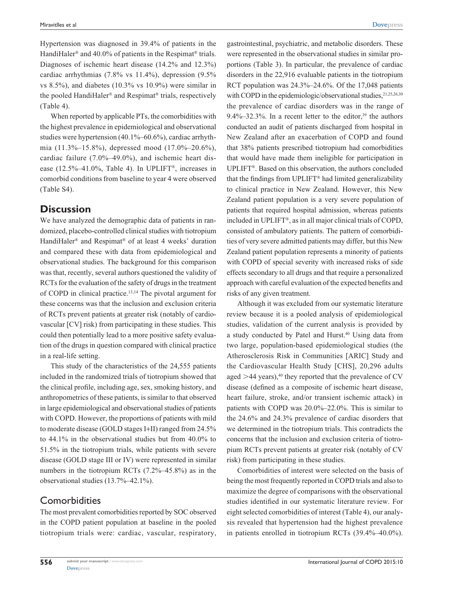Hypertension was diagnosed in 39.4% of patients in the HandiHaler® and 40.0% of patients in the Respimat® trials. Diagnoses of ischemic heart disease (14.2% and 12.3%) cardiac arrhythmias (7.8% vs 11.4%), depression (9.5% vs 8.5%), and diabetes (10.3% vs 10.9%) were similar in the pooled HandiHaler® and Respimat® trials, respectively (Table 4).

When reported by applicable PTs, the comorbidities with the highest prevalence in epidemiological and observational studies were hypertension (40.1%–60.6%), cardiac arrhythmia (11.3%–15.8%), depressed mood (17.0%–20.6%), cardiac failure (7.0%–49.0%), and ischemic heart disease (12.5%–41.0%, Table 4). In UPLIFT®, increases in comorbid conditions from baseline to year 4 were observed (Table S4).

# **Discussion**

We have analyzed the demographic data of patients in randomized, placebo-controlled clinical studies with tiotropium HandiHaler® and Respimat® of at least 4 weeks' duration and compared these with data from epidemiological and observational studies. The background for this comparison was that, recently, several authors questioned the validity of RCTs for the evaluation of the safety of drugs in the treatment of COPD in clinical practice.13,14 The pivotal argument for these concerns was that the inclusion and exclusion criteria of RCTs prevent patients at greater risk (notably of cardiovascular [CV] risk) from participating in these studies. This could then potentially lead to a more positive safety evaluation of the drugs in question compared with clinical practice in a real-life setting.

This study of the characteristics of the 24,555 patients included in the randomized trials of tiotropium showed that the clinical profile, including age, sex, smoking history, and anthropometrics of these patients, is similar to that observed in large epidemiological and observational studies of patients with COPD. However, the proportions of patients with mild to moderate disease (GOLD stages I+II) ranged from 24.5% to 44.1% in the observational studies but from 40.0% to 51.5% in the tiotropium trials, while patients with severe disease (GOLD stage III or IV) were represented in similar numbers in the tiotropium RCTs (7.2%–45.8%) as in the observational studies (13.7%–42.1%).

## **Comorbidities**

The most prevalent comorbidities reported by SOC observed in the COPD patient population at baseline in the pooled tiotropium trials were: cardiac, vascular, respiratory, gastrointestinal, psychiatric, and metabolic disorders. These were represented in the observational studies in similar proportions (Table 3). In particular, the prevalence of cardiac disorders in the 22,916 evaluable patients in the tiotropium RCT population was 24.3%–24.6%. Of the 17,048 patients with COPD in the epidemiologic/observational studies,  $21,25,26,30$ the prevalence of cardiac disorders was in the range of 9.4%–32.3%. In a recent letter to the editor,<sup>39</sup> the authors conducted an audit of patients discharged from hospital in New Zealand after an exacerbation of COPD and found that 38% patients prescribed tiotropium had comorbidities that would have made them ineligible for participation in UPLIFT®. Based on this observation, the authors concluded that the findings from UPLIFT® had limited generalizability to clinical practice in New Zealand. However, this New Zealand patient population is a very severe population of patients that required hospital admission, whereas patients included in UPLIFT®, as in all major clinical trials of COPD, consisted of ambulatory patients. The pattern of comorbidities of very severe admitted patients may differ, but this New Zealand patient population represents a minority of patients with COPD of special severity with increased risks of side effects secondary to all drugs and that require a personalized approach with careful evaluation of the expected benefits and risks of any given treatment.

Although it was excluded from our systematic literature review because it is a pooled analysis of epidemiological studies, validation of the current analysis is provided by a study conducted by Patel and Hurst.<sup>40</sup> Using data from two large, population-based epidemiological studies (the Atherosclerosis Risk in Communities [ARIC] Study and the Cardiovascular Health Study [CHS], 20,296 adults aged  $>44$  years),<sup>40</sup> they reported that the prevalence of CV disease (defined as a composite of ischemic heart disease, heart failure, stroke, and/or transient ischemic attack) in patients with COPD was 20.0%–22.0%. This is similar to the 24.6% and 24.3% prevalence of cardiac disorders that we determined in the tiotropium trials. This contradicts the concerns that the inclusion and exclusion criteria of tiotropium RCTs prevent patients at greater risk (notably of CV risk) from participating in these studies.

Comorbidities of interest were selected on the basis of being the most frequently reported in COPD trials and also to maximize the degree of comparisons with the observational studies identified in our systematic literature review. For eight selected comorbidities of interest (Table 4), our analysis revealed that hypertension had the highest prevalence in patients enrolled in tiotropium RCTs (39.4%–40.0%).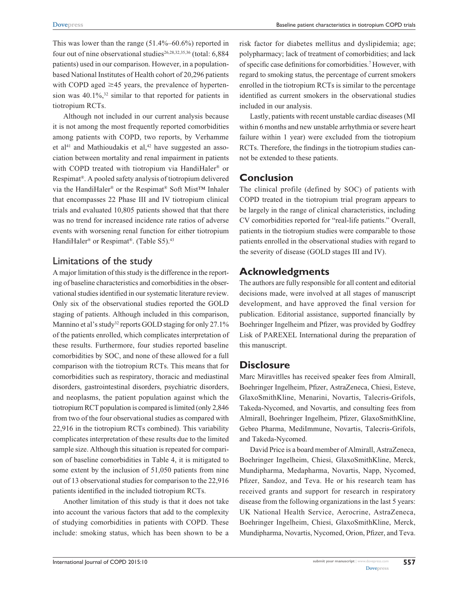This was lower than the range (51.4%–60.6%) reported in four out of nine observational studies<sup>26,28,32,35,36</sup> (total: 6,884 patients) used in our comparison. However, in a populationbased National Institutes of Health cohort of 20,296 patients with COPD aged  $\geq$ 45 years, the prevalence of hypertension was  $40.1\%,32$  similar to that reported for patients in tiotropium RCTs.

Although not included in our current analysis because it is not among the most frequently reported comorbidities among patients with COPD, two reports, by Verhamme et al $41$  and Mathioudakis et al, $42$  have suggested an association between mortality and renal impairment in patients with COPD treated with tiotropium via HandiHaler® or Respimat®. A pooled safety analysis of tiotropium delivered via the HandiHaler® or the Respimat® Soft Mist™ Inhaler that encompasses 22 Phase III and IV tiotropium clinical trials and evaluated 10,805 patients showed that that there was no trend for increased incidence rate ratios of adverse events with worsening renal function for either tiotropium HandiHaler® or Respimat®. (Table S5).<sup>43</sup>

## Limitations of the study

A major limitation of this study is the difference in the reporting of baseline characteristics and comorbidities in the observational studies identified in our systematic literature review. Only six of the observational studies reported the GOLD staging of patients. Although included in this comparison, Mannino et al's study<sup>32</sup> reports GOLD staging for only 27.1% of the patients enrolled, which complicates interpretation of these results. Furthermore, four studies reported baseline comorbidities by SOC, and none of these allowed for a full comparison with the tiotropium RCTs. This means that for comorbidities such as respiratory, thoracic and mediastinal disorders, gastrointestinal disorders, psychiatric disorders, and neoplasms, the patient population against which the tiotropium RCT population is compared is limited (only 2,846 from two of the four observational studies as compared with 22,916 in the tiotropium RCTs combined). This variability complicates interpretation of these results due to the limited sample size. Although this situation is repeated for comparison of baseline comorbidities in Table 4, it is mitigated to some extent by the inclusion of 51,050 patients from nine out of 13 observational studies for comparison to the 22,916 patients identified in the included tiotropium RCTs.

Another limitation of this study is that it does not take into account the various factors that add to the complexity of studying comorbidities in patients with COPD. These include: smoking status, which has been shown to be a risk factor for diabetes mellitus and dyslipidemia; age; polypharmacy; lack of treatment of comorbidities; and lack of specific case definitions for comorbidities.7 However, with regard to smoking status, the percentage of current smokers enrolled in the tiotropium RCTs is similar to the percentage identified as current smokers in the observational studies included in our analysis.

Lastly, patients with recent unstable cardiac diseases (MI within 6 months and new unstable arrhythmia or severe heart failure within 1 year) were excluded from the tiotropium RCTs. Therefore, the findings in the tiotropium studies cannot be extended to these patients.

## **Conclusion**

The clinical profile (defined by SOC) of patients with COPD treated in the tiotropium trial program appears to be largely in the range of clinical characteristics, including CV comorbidities reported for "real-life patients." Overall, patients in the tiotropium studies were comparable to those patients enrolled in the observational studies with regard to the severity of disease (GOLD stages III and IV).

## **Acknowledgments**

The authors are fully responsible for all content and editorial decisions made, were involved at all stages of manuscript development, and have approved the final version for publication. Editorial assistance, supported financially by Boehringer Ingelheim and Pfizer, was provided by Godfrey Lisk of PAREXEL International during the preparation of this manuscript.

# **Disclosure**

Marc Miravitlles has received speaker fees from Almirall, Boehringer Ingelheim, Pfizer, AstraZeneca, Chiesi, Esteve, GlaxoSmithKline, Menarini, Novartis, Talecris-Grifols, Takeda-Nycomed, and Novartis, and consulting fees from Almirall, Boehringer Ingelheim, Pfizer, GlaxoSmithKline, Gebro Pharma, MediImmune, Novartis, Talecris-Grifols, and Takeda-Nycomed.

David Price is a board member of Almirall, AstraZeneca, Boehringer Ingelheim, Chiesi, GlaxoSmithKline, Merck, Mundipharma, Medapharma, Novartis, Napp, Nycomed, Pfizer, Sandoz, and Teva. He or his research team has received grants and support for research in respiratory disease from the following organizations in the last 5 years: UK National Health Service, Aerocrine, AstraZeneca, Boehringer Ingelheim, Chiesi, GlaxoSmithKline, Merck, Mundipharma, Novartis, Nycomed, Orion, Pfizer, and Teva.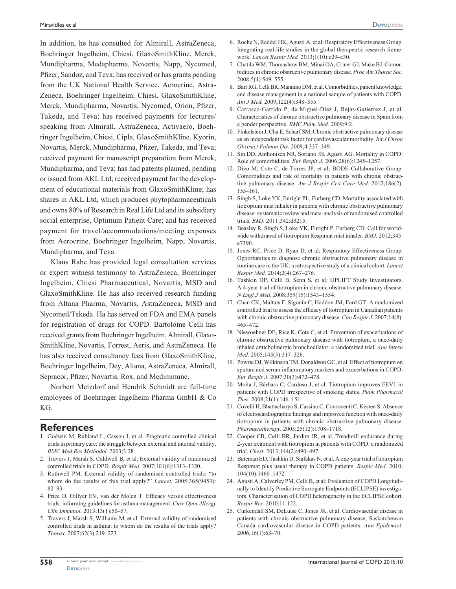In addition, he has consulted for Almirall, AstraZeneca, Boehringer Ingelheim, Chiesi, GlaxoSmithKline, Merck, Mundipharma, Medapharma, Novartis, Napp, Nycomed, Pfizer, Sandoz, and Teva; has received or has grants pending from the UK National Health Service, Aerocrine, Astra-Zeneca, Boehringer Ingelheim, Chiesi, GlaxoSmithKline, Merck, Mundipharma, Novartis, Nycomed, Orion, Pfizer, Takeda, and Teva; has received payments for lectures/ speaking from Almirall, AstraZeneca, Activaero, Boehringer Ingelheim, Chiesi, Cipla, GlaxoSmithKline, Kyorin, Novartis, Merck, Mundipharma, Pfizer, Takeda, and Teva; received payment for manuscript preparation from Merck, Mundipharma, and Teva; has had patents planned, pending or issued from AKL Ltd; received payment for the development of educational materials from GlaxoSmithKline; has shares in AKL Ltd, which produces phytopharmaceuticals and owns 80% of Research in Real Life Ltd and its subsidiary social enterprise, Optimum Patient Care; and has received payment for travel/accommodations/meeting expenses from Aerocrine, Boehringer Ingelheim, Napp, Novartis, Mundipharma, and Teva.

Klaus Rabe has provided legal consultation services or expert witness testimony to AstraZeneca, Boehringer Ingelheim, Chiesi Pharmaceutical, Novartis, MSD and GlaxoSmithKline. He has also received research funding from Altana Pharma, Novartis, AstraZeneca, MSD and Nycomed/Takeda. Ha has served on FDA and EMA panels for registration of drugs for COPD. Bartolome Celli has received grants from Boehringer Ingelheim, Almirall, Glaxo-SmithKline, Novartis, Forrest, Aeris, and AstraZeneca. He has also received consultancy fees from GlaxoSmithKline, Boehringer Ingelheim, Dey, Altana, AstraZeneca, Almirall, Sepracor, Pfizer, Novartis, Rox, and Medimmune.

Norbert Metzdorf and Hendrik Schmidt are full-time employees of Boehringer Ingelheim Pharma GmbH & Co KG.

#### **References**

- 1. Godwin M, Ruhland L, Casson I, et al. Pragmatic controlled clinical trials in primary care: the struggle between external and internal validity. *BMC Med Res Methodol.* 2003;3:28.
- 2. Travers J, Marsh S, Caldwell B, et al. External validity of randomized controlled trials in COPD. *Respir Med.* 2007;101(6):1313–1320.
- 3. Rothwell PM. External validity of randomised controlled trials: "to whom do the results of this trial apply?" *Lancet.* 2005;365(9453): 82–93.
- 4. Price D, Hillyer EV, van der Molen T. Efficacy versus effectiveness trials: informing guidelines for asthma management. *Curr Opin Allergy Clin Immunol.* 2013;13(1):50–57.
- 5. Travers J, Marsh S, Williams M, et al. External validity of randomised controlled trials in asthma: to whom do the results of the trials apply? *Thorax.* 2007;62(3):219–223.
- 6. Roche N, Reddel HK, Agusti A, et al; Respiratory Effectiveness Group. Integrating real-life studies in the global therapeutic research framework. *Lancet Respir Med.* 2013;1(10):e29–e30.
- 7. Chatila WM, Thomashow BM, Minai OA, Criner GJ, Make BJ. Comorbidities in chronic obstructive pulmonary disease. *Proc Am Thorac Soc.* 2008;5(4):549–555.
- 8. Barr RG, Celli BR, Mannino DM, et al. Comorbidities, patient knowledge, and disease management in a national sample of patients with COPD. *Am J Med.* 2009;122(4):348–355.
- 9. Carrasco-Garrido P, de Miguel-Díez J, Rejas-Gutierrez J, et al. Characteristics of chronic obstructive pulmonary disease in Spain from a gender perspective. *BMC Pulm Med.* 2009;9:2.
- 10. Finkelstein J, Cha E, Scharf SM. Chronic obstructive pulmonary disease as an independent risk factor for cardiovascular morbidity. *Int J Chron Obstruct Pulmon Dis.* 2009;4:337–349.
- 11. Sin DD, Anthonisen NR, Soriano JB, Agusti AG. Mortality in COPD: Role of comorbidities. *Eur Respir J.* 2006;28(6):1245–1257.
- 12. Divo M, Cote C, de Torres JP, et al; BODE Collaborative Group. Comorbidities and risk of mortality in patients with chronic obstructive pulmonary disease. *Am J Respir Crit Care Med.* 2012;186(2): 155–161.
- 13. Singh S, Loke YK, Enright PL, Furberg CD. Mortality associated with tiotropium mist inhaler in patients with chronic obstructive pulmonary disease: systematic review and meta-analysis of randomised controlled trials. *BMJ.* 2011;342:d3215.
- 14. Beasley R, Singh S, Loke YK, Enright P, Furberg CD. Call for worldwide withdrawal of tiotropium Respimat mist inhaler. *BMJ.* 2012;345: e7390.
- 15. Jones RC, Price D, Ryan D, et al; Respiratory Effectiveness Group. Opportunities to diagnose chronic obstructive pulmonary disease in routine care in the UK: a retrospective study of a clinical cohort. *Lancet Respir Med.* 2014;2(4):267–276.
- 16. Tashkin DP, Celli B, Senn S, et al; UPLIFT Study Investigators. A 4-year trial of tiotropium in chronic obstructive pulmonary disease. *N Engl J Med.* 2008;359(15):1543–1554.
- 17. Chan CK, Maltais F, Sigouin C, Haddon JM, Ford GT. A randomized controlled trial to assess the efficacy of tiotropium in Canadian patients with chronic obstructive pulmonary disease. *Can Respir J.* 2007;14(8): 465–472.
- 18. Niewoehner DE, Rice K, Cote C, et al. Prevention of exacerbations of chronic obstructive pulmonary disease with tiotropium, a once-daily inhaled anticholinergic bronchodilator: a randomized trial. *Ann Intern Med.* 2005;143(5):317–326.
- 19. Powrie DJ, Wilkinson TM, Donaldson GC, et al. Effect of tiotropium on sputum and serum inflammatory markers and exacerbations in COPD. *Eur Respir J.* 2007;30(3):472–478.
- 20. Moita J, Bárbara C, Cardoso J, et al. Tiotropium improves FEV1 in patients with COPD irrespective of smoking status. *Pulm Pharmacol Ther.* 2008;21(1):146–151.
- 21. Covelli H, Bhattacharya S, Cassino C, Conoscenti C, Kesten S. Absence of electrocardiographic findings and improved function with once-daily tiotropium in patients with chronic obstructive pulmonary disease. *Pharmacotherapy.* 2005;25(12):1708–1718.
- 22. Cooper CB, Celli BR, Jardim JR, et al. Treadmill endurance during 2-year treatment with tiotropium in patients with COPD: a randomized trial. *Chest.* 2013;144(2):490–497.
- 23. Bateman ED, Tashkin D, Siafakas N, et al. A one-year trial of tiotropium Respimat plus usual therapy in COPD patients. *Respir Med.* 2010; 104(10):1460–1472.
- 24. Agusti A, Calverley PM, Celli B, et al; Evaluation of COPD Longitudinally to Identify Predictive Surrogate Endpoints (ECLIPSE) investigators. Characterisation of COPD heterogeneity in the ECLIPSE cohort. *Respir Res.* 2010;11:122.
- 25. Curkendall SM, DeLuise C, Jones JK, et al. Cardiovascular disease in patients with chronic obstructive pulmonary disease, Saskatchewan Canada cardiovascular disease in COPD patients. *Ann Epidemiol.* 2006;16(1):63–70.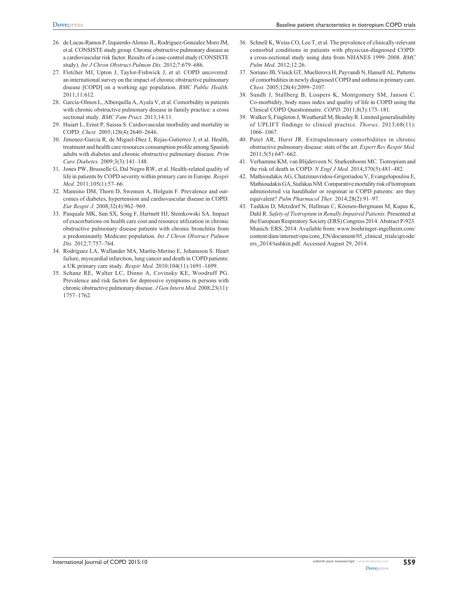- 26. de Lucas-Ramos P, Izquierdo-Alonso JL, Rodriguez-Gonzalez Moro JM, et al. CONSISTE study group. Chronic obstructive pulmonary disease as a cardiovascular risk factor. Results of a case-control study (CONSISTE study). *Int J Chron Obstruct Pulmon Dis.* 2012;7:679–686.
- 27. Fletcher MJ, Upton J, Taylor-Fishwick J, et al. COPD uncovered: an international survey on the impact of chronic obstructive pulmonary disease [COPD] on a working age population. *BMC Public Health.* 2011;11:612.
- 28. García-Olmos L, Alberquilla A, Ayala V, et al. Comorbidity in patients with chronic obstructive pulmonary disease in family practice: a cross sectional study. *BMC Fam Pract.* 2013;14:11.
- 29. Huiart L, Ernst P, Suissa S. Cardiovascular morbidity and mortality in COPD. *Chest.* 2005;128(4):2640–2646.
- 30. Jimenez-Garcia R, de Miguel-Díez J, Rejas-Gutierrez J, et al. Health, treatment and health care resources consumption profile among Spanish adults with diabetes and chronic obstructive pulmonary disease. *Prim Care Diabetes.* 2009;3(3):141–148.
- 31. Jones PW, Brusselle G, Dal Negro RW, et al. Health-related quality of life in patients by COPD severity within primary care in Europe. *Respir Med.* 2011;105(1):57–66.
- 32. Mannino DM, Thorn D, Swensen A, Holguin F. Prevalence and outcomes of diabetes, hypertension and cardiovascular disease in COPD. *Eur Respir J.* 2008;32(4):962–969.
- 33. Pasquale MK, Sun SX, Song F, Hartnett HJ, Stemkowski SA. Impact of exacerbations on health care cost and resource utilization in chronic obstructive pulmonary disease patients with chronic bronchitis from a predominantly Medicare population. *Int J Chron Obstruct Pulmon Dis.* 2012;7:757–764.
- 34. Rodríguez LA, Wallander MA, Martín-Merino E, Johansson S. Heart failure, myocardial infarction, lung cancer and death in COPD patients: a UK primary care study. *Respir Med.* 2010;104(11):1691–1699.
- 35. Schane RE, Walter LC, Dinno A, Covinsky KE, Woodruff PG. Prevalence and risk factors for depressive symptoms in persons with chronic obstructive pulmonary disease. *J Gen Intern Med.* 2008;23(11): 1757–1762.
- 36. Schnell K, Weiss CO, Lee T, et al. The prevalence of clinically-relevant comorbid conditions in patients with physician-diagnosed COPD: a cross-sectional study using data from NHANES 1999–2008. *BMC Pulm Med.* 2012;12:26.
- 37. Soriano JB, Visick GT, Muellerova H, Payvandi N, Hansell AL. Patterns of comorbidities in newly diagnosed COPD and asthma in primary care. *Chest.* 2005;128(4):2099–2107.
- 38. Sundh J, Stallberg B, Lisspers K, Montgomery SM, Janson C. Co-morbidity, body mass index and quality of life in COPD using the Clinical COPD Questionnaire. *COPD.* 2011;8(3):173–181.
- 39. Walker S, Fingleton J, Weatherall M, Beasley R. Limited generalisability of UPLIFT findings to clinical practice. *Thorax.* 2013;68(11): 1066–1067.
- 40. Patel AR, Hurst JR. Extrapulmonary comorbidities in chronic obstructive pulmonary disease: state of the art. *Expert Rev Respir Med.* 2011;5(5):647–662.
- 41. Verhamme KM, van Blijderveen N, Sturkenboom MC. Tiotropium and the risk of death in COPD. *N Engl J Med.* 2014;370(5):481–482.
- 42. Mathioudakis AG, Chatzimavridou-Grigoriadou V, Evangelopoulou E, Mathioudakis GA, Siafakas NM. Comparative mortality risk of tiotropium administered via handihaler or respimat in COPD patients: are they equivalent? *Pulm Pharmacol Ther.* 2014;28(2):91–97.
- 43. Tashkin D, Metzdorf N, Hallman C, Köenen-Bergmann M, Kupas K, Dahl R. *Safety of Tiotropium in Renally Impaired Patients*. Presented at the European Respiratory Society (ERS) Congress 2014. Abstract P-923. Munich: ERS; 2014. Available from: [www.boehringer-ingelheim.com/](www.boehringer-ingelheim.com/content/dam/internet/opu/com_EN/document/05_clinical_trials/qrcode/ers_2014/tashkin.pdf) [content/dam/internet/opu/com\\_EN/document/05\\_clinical\\_trials/qrcode/](www.boehringer-ingelheim.com/content/dam/internet/opu/com_EN/document/05_clinical_trials/qrcode/ers_2014/tashkin.pdf) [ers\\_2014/tashkin.pdf.](www.boehringer-ingelheim.com/content/dam/internet/opu/com_EN/document/05_clinical_trials/qrcode/ers_2014/tashkin.pdf) Accessed August 29, 2014.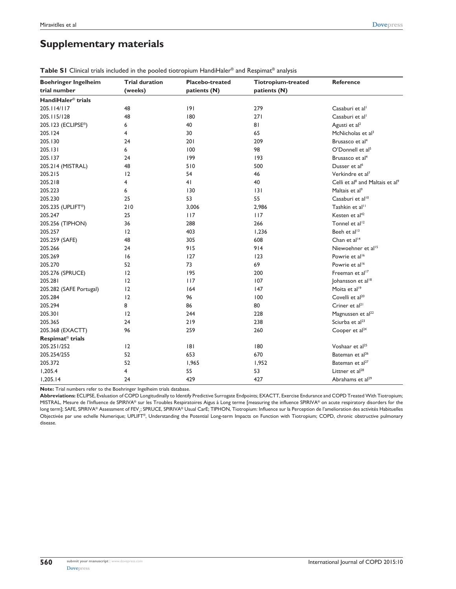# **Supplementary materials**

| <b>Boehringer Ingelheim</b>    | <b>Trial duration</b> | Placebo-treated | Tiotropium-treated | Reference                                               |
|--------------------------------|-----------------------|-----------------|--------------------|---------------------------------------------------------|
| trial number                   | (weeks)               | patients (N)    | patients (N)       |                                                         |
| HandiHaler <sup>®</sup> trials |                       |                 |                    |                                                         |
| 205.114/117                    | 48                    | 9               | 279                | Casaburi et al'                                         |
| 205.115/128                    | 48                    | 180             | 271                | Casaburi et al'                                         |
| 205.123 (ECLIPSE®)             | 6                     | 40              | 81                 | Agusti et al <sup>2</sup>                               |
| 205.124                        | 4                     | 30              | 65                 | McNicholas et al <sup>3</sup>                           |
| 205.130                        | 24                    | 201             | 209                | Brusasco et al <sup>4</sup>                             |
| 205.131                        | 6                     | 100             | 98                 | O'Donnell et al <sup>5</sup>                            |
| 205.137                        | 24                    | 199             | 193                | Brusasco et al <sup>4</sup>                             |
| 205.214 (MISTRAL)              | 48                    | 510             | 500                | Dusser et al <sup>6</sup>                               |
| 205.215                        | 12                    | 54              | 46                 | Verkindre et al <sup>7</sup>                            |
| 205.218                        | $\overline{4}$        | 4 <sub>l</sub>  | 40                 | Celli et al <sup>8</sup> and Maltais et al <sup>9</sup> |
| 205.223                        | 6                     | 130             | 3                  | Maltais et al <sup>9</sup>                              |
| 205.230                        | 25                    | 53              | 55                 | Casaburi et al <sup>10</sup>                            |
| 205.235 (UPLIFT <sup>®</sup> ) | 210                   | 3,006           | 2,986              | Tashkin et al <sup>11</sup>                             |
| 205.247                        | 25                    | 117             | 117                | Kesten et al <sup>42</sup>                              |
| 205.256 (TIPHON)               | 36                    | 288             | 266                | Tonnel et al <sup>12</sup>                              |
| 205.257                        | 12                    | 403             | 1,236              | Beeh et al <sup>13</sup>                                |
| 205.259 (SAFE)                 | 48                    | 305             | 608                | Chan et al <sup>14</sup>                                |
| 205.266                        | 24                    | 915             | 914                | Niewoehner et al <sup>15</sup>                          |
| 205.269                        | 16                    | 127             | 123                | Powrie et al <sup>16</sup>                              |
| 205.270                        | 52                    | 73              | 69                 | Powrie et al <sup>16</sup>                              |
| 205.276 (SPRUCE)               | 12                    | 195             | 200                | Freeman et al <sup>17</sup>                             |
| 205.281                        | 12                    | 117             | 107                | Johansson et al <sup>18</sup>                           |
| 205.282 (SAFE Portugal)        | 12                    | 164             | 147                | Moita et al <sup>19</sup>                               |
| 205.284                        | 12                    | 96              | 100                | Covelli et al <sup>20</sup>                             |
| 205.294                        | 8                     | 86              | 80                 | Criner et al <sup>21</sup>                              |
| 205.301                        | 12                    | 244             | 228                | Magnussen et al <sup>22</sup>                           |
| 205.365                        | 24                    | 219             | 238                | Sciurba et al <sup>23</sup>                             |
| 205.368 (EXACTT)               | 96                    | 259             | 260                | Cooper et al <sup>24</sup>                              |
| Respimat <sup>®</sup> trials   |                       |                 |                    |                                                         |
| 205.251/252                    | 12                    | 8               | 180                | Voshaar et al <sup>25</sup>                             |
| 205.254/255                    | 52                    | 653             | 670                | Bateman et al <sup>26</sup>                             |
| 205.372                        | 52                    | 1,965           | 1,952              | Bateman et al <sup>27</sup>                             |
| 1,205.4                        | 4                     | 55              | 53                 | Littner et al <sup>28</sup>                             |
| 1,205.14                       | 24                    | 429             | 427                | Abrahams et al <sup>29</sup>                            |

Table SI Clinical trials included in the pooled tiotropium HandiHaler<sup>®</sup> and Respimat<sup>®</sup> analysis

**Note:** Trial numbers refer to the Boehringer Ingelheim trials database.

**Abbreviations:** ECLIPSE, Evaluation of COPD Longitudinally to Identify Predictive Surrogate Endpoints; EXACTT, Exercise Endurance and COPD Treated With Tiotropium; MISTRAL, Mesure de l'Influence de SPIRIVA® sur les Troubles Respiratoires Aigus à Long terme [measuring the influence SPIRIVA® on acute respiratory disorders for the long term]; SAFE, SPIRIVA® Assessment of FEV<sub>1</sub>; SPRUCE, SPIRIVA® Usual CarE; TIPHON, Tiotropium: Influence sur la Perception de l'amelioration des activités Habituelles Objectivée par une echelle Numerique; UPLIFT®, Understanding the Potential Long-term Impacts on Function with Tiotropium; COPD, chronic obstructive pulmonary disease.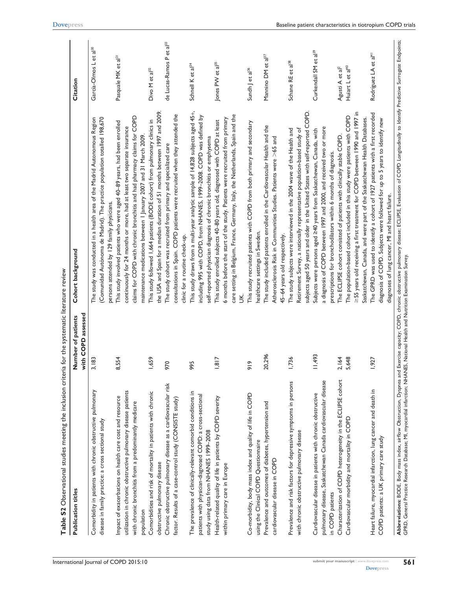| <b>Publication titles</b>                                                                                                                                                          | Number of patients | Cohort background                                                                                                                                                                                                                                                                                              | Citation                                                    |
|------------------------------------------------------------------------------------------------------------------------------------------------------------------------------------|--------------------|----------------------------------------------------------------------------------------------------------------------------------------------------------------------------------------------------------------------------------------------------------------------------------------------------------------|-------------------------------------------------------------|
|                                                                                                                                                                                    | with COPD assessed |                                                                                                                                                                                                                                                                                                                |                                                             |
| Comorbidity in patients with chronic obstructive pulmonary<br>disease in family practice: a cross sectional study                                                                  | 3,183              | (Comunidad Autónoma de Madrid). The practice population totalled 198,670<br>The study was conducted in a health area of the Madrid Autonomous Region<br>persons attended by 129 family physicians.                                                                                                             | García-Olmos L et al <sup>30</sup>                          |
| utilization in chronic obstructive pulmonary disease patients<br>Impact of exacerbations on health care cost and resource<br>with chronic bronchitis from a predominantly medicare | 8,554              | claims for COPD with chronic bronchitis and had pharmacy claims for COPD<br>This study involved patients who were aged 40-89 years, had been enrolled<br>continuously for 24 months or more, had at least two separate insurance                                                                               | Pasquale MK et al <sup>31</sup>                             |
| Comorbidities and risk of mortality in patients with chronic<br>obstructive pulmonary disease<br>population                                                                        | 659                | the USA and Spain for a median duration of 51 months between 1997 and 2009.<br>This study followed 1,664 patients (BODE cohort) from pulmonary clinics in<br>maintenance medications between 1 January 2007 and 31 March 2009.                                                                                 | Divo M et al <sup>32</sup>                                  |
| Chronic obstructive pulmonary disease as a cardiovascular risk<br>factor. Results of a case-control study (CONSISTE study)                                                         | 970                | consultations in Spain. COPD patients were recruited when they attended the<br>The study cohort was recruited from primary and specialized care<br>clinic for a routine check-up.                                                                                                                              | de Lucas-Ramos P et al <sup>33</sup>                        |
| The prevalence of clinically-relevant comorbid conditions in<br>patients with physician-diagnosed COPD: a cross-sectional<br>study using data from NHANES 1999-2008                | 995                | This study draws from a multi-year analytic sample of 14,828 subjects aged 45+,<br>including 995 with COPD, from NHANES, 1999-2008. COPD was defined by<br>self-reported physician diagnosis of chronic bronchitis or emphysema                                                                                | Schnell K et al <sup>34</sup>                               |
| Health-related quality of life in patients by COPD severity<br>within primary care in Europe                                                                                       | $\frac{1}{8}$      | care setting in Belgium, France, Germany, Italy, the Netherlands, Spain and the<br>6 months before the start of the study. Patients were recruited from primary<br>This study enrolled subjects 40-80 years old, diagnosed with COPD at least<br>š                                                             | Jones PW et al <sup>35</sup>                                |
| Co-morbidity, body mass index and quality of life in COPD<br>using the Clinical COPD Questionnaire                                                                                 | $\frac{9}{9}$      | This study recruited patients with COPD from both primary and secondary<br>healthcare settings in Sweden.                                                                                                                                                                                                      | Sundh J et al <sup>36</sup>                                 |
| Prevalence and outcomes of diabetes, hypertension and<br>cardiovascular disease in COPD                                                                                            | 20,296             | The study included patients enrolled in the Cardiovascular Health and the<br>Atherosclerosis Risk in Communities Studies. Patients were >65 and<br>45-64 years old respectively.                                                                                                                               | Mannino DM et al <sup>37</sup>                              |
| Prevalence and risk factors for depressive symptoms in persons<br>with chronic obstructive pulmonary disease                                                                       | ,736               | subjects aged 50 years and older in the United States with self-reported COPD.<br>The study subjects were interviewed in the 2004 wave of the Health and<br>Retirement Survey, a nationally representative population-based study of                                                                           | Schane RE et al <sup>38</sup>                               |
| pulmonary disease, Saskatchewan Canada cardiovascular disease<br>Cardiovascular disease in patients with chronic obstructive<br>in COPD patients                                   | 11,493             | a diagnosis of COPD between 1997 and 2000, and received two or more<br>Subjects were persons aged 240 years from Saskatchewan, Canada, with<br>prescriptions for bronchodilators within 6 months of diagnosis                                                                                                  | Curkendall SM et al <sup>39</sup>                           |
| Characterization of COPD heterogeneity in the ECLIPSE cohort<br>Cardiovascular morbidity and mortality in COPD                                                                     | 5,648<br>2,164     | ≥55 years old receiving a first treatment for COPD between 1990 and 1997 in<br>The population-based cohort included in this study were patients with COPD<br>Saskatchewan, Canada, and were part of the Saskatchewan Health Databases.<br>The ECLIPSE cohort consisted of patients with clinically stable COPD | Huiart L et al <sup>40</sup><br>Agusti A et al <sup>2</sup> |
| Heart failure, myocardial infarction, lung cancer and death in<br>COPD patients: a UK primary care study                                                                           | ,927               | The GPRD was used to identify a cohort of 1927 patients with a first recorded<br>diagnosis of COPD. Subjects were followed for up to 5 years to identify new<br>diagnoses of lung cancer, MI and heart failure.                                                                                                | Rodríguez LA et al <sup>41</sup>                            |

**Table S2** Observational studies meeting the inclusion criteria for the systematic literature review Ė  $\cdot$ ć ŀ, J ś  $\cdot$ ć ်

**Abbreviations:** BODE, Body mass index, airflow Obstruction, Dyspnea and Exercise capacity; COPD, chronic obstructive pulmonary disease; ECLIPSE, Evaluation of COPD Longitudinally to Identify Predictive Surrogate Endpoints Abbreviations: BODE, Body mass index, airflow Obstruction, Dyspnea and Exercise capacity; COPD, chronic obstructive pulmonary disease; ECLIPSE, Evaluation of COPD Longitudinally to Identify Predictive Surrogate Endpoints; GPRD, General Practice Research Database; MI, myocardial infarction; NHANES, National Health and Nutrition Examination Survey.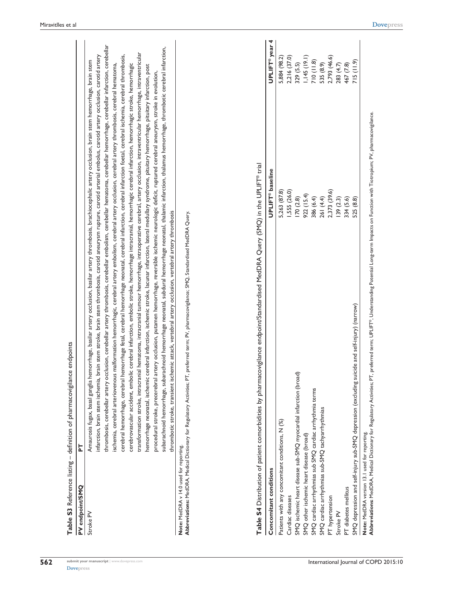| PV endpoint/SMQ                                 | 눈                                                                                                                                                                                                                                                                                                                                                                                                                                                                                                                                                                                                                                                                                                                                                                                                                                                                                                                                                                                                                                                                                                                                                                                                                                                                                                                                                                                                                                     |                                                                                                                                                                                                                                                                                                                                                                                                                 |                            |
|-------------------------------------------------|---------------------------------------------------------------------------------------------------------------------------------------------------------------------------------------------------------------------------------------------------------------------------------------------------------------------------------------------------------------------------------------------------------------------------------------------------------------------------------------------------------------------------------------------------------------------------------------------------------------------------------------------------------------------------------------------------------------------------------------------------------------------------------------------------------------------------------------------------------------------------------------------------------------------------------------------------------------------------------------------------------------------------------------------------------------------------------------------------------------------------------------------------------------------------------------------------------------------------------------------------------------------------------------------------------------------------------------------------------------------------------------------------------------------------------------|-----------------------------------------------------------------------------------------------------------------------------------------------------------------------------------------------------------------------------------------------------------------------------------------------------------------------------------------------------------------------------------------------------------------|----------------------------|
| Stroke PV                                       | thrombosis, cerebellar artery occlusion, cerebellar artery thrombosis, cerebellar embolism, cerebellar hematoma, cerebellar hemorrhage, cerebellar infarction, cerebellar<br>subarachnoid hemorrhage, subarachnoid hemorrhage neonatal, subdural hemorrhage neonatal, thalamic infarction, thalamus hemorrhage, thrombotic cerebral infarction,<br>transformation stroke, intracranial hematoma, intracranial tumour hemorrhage, intraoperative cerebral, artery occlusion, intraventricular hemorrhage, intraventricular<br>cerebral hemorrhage, cerebral hemorrhage fetal, cerebral hemorrhage neonatal, cerebral infarction, cerebral infarction foetal, cerebral ischemia, cerebral thrombosis,<br>Amaurosis fugax, basal ganglia hemorrhage, basilar artery occlusion, basilar artery thrombosis, brachiocephalic artery occlusion, brain stem hemorrhage, brain stem<br>cerebrovascular accident, embolic cerebral infarction, embolic stroke, hemorrhage intracranial, hemorrhagic cerebral infarction, hemorrhagic stroke, hemorrhagic<br>procedural stroke, precerebral artery occlusion, putamen hemorrhage, reversible ischemic neurologic deficit, ruptured cerebral aneurysm, stroke in evolution,<br>thrombotic stroke, transient ischemic attack, vertebral artery occlusion, vertebral artery thrombosis<br>infarction, brain stem ischemia, b<br>ischemia, cerebral arteriovenous<br>hemorrhage neonatal, ischemic c | rain stem stroke, brain stem thrombosis, carotid aneurysm rupture, carotid arterial embolus, carotid artery occlusion, carotid artery<br>malformation hemorrhagic, cerebral artery embolism, cerebral artery occlusion, cerebral artery thrombosis, cerebral hematoma,<br>erebral infarction, ischemic stroke, lacunar infarction, lateral medullary syndrome, pituitary hemorrhage, pituitary infarction, post |                            |
| Note: MedDRA v 14.0 used for reporting.         | preferred term; PV, pharmacovigilance; SMQ, Standardised MedDRA Query.<br>Abbreviations: MedDRA, Medical Dictionary for Regulatory Activities; PT,                                                                                                                                                                                                                                                                                                                                                                                                                                                                                                                                                                                                                                                                                                                                                                                                                                                                                                                                                                                                                                                                                                                                                                                                                                                                                    |                                                                                                                                                                                                                                                                                                                                                                                                                 |                            |
|                                                 | Table S4 Distribution of patient comorbidities by pharmacovigilance endpoint/Standardised MedDRA Query (SMQ) in the UPLIFT® trial                                                                                                                                                                                                                                                                                                                                                                                                                                                                                                                                                                                                                                                                                                                                                                                                                                                                                                                                                                                                                                                                                                                                                                                                                                                                                                     |                                                                                                                                                                                                                                                                                                                                                                                                                 |                            |
| Concomitant conditions                          |                                                                                                                                                                                                                                                                                                                                                                                                                                                                                                                                                                                                                                                                                                                                                                                                                                                                                                                                                                                                                                                                                                                                                                                                                                                                                                                                                                                                                                       | UPLIFT <sup>®</sup> baseline                                                                                                                                                                                                                                                                                                                                                                                    | UPLIFT <sup>®</sup> year 4 |
| Patients with any concomitant conditions, N (%) |                                                                                                                                                                                                                                                                                                                                                                                                                                                                                                                                                                                                                                                                                                                                                                                                                                                                                                                                                                                                                                                                                                                                                                                                                                                                                                                                                                                                                                       | 5,263 (87.8)                                                                                                                                                                                                                                                                                                                                                                                                    | 5,884 (98.2)               |
| Cardiac diseases                                |                                                                                                                                                                                                                                                                                                                                                                                                                                                                                                                                                                                                                                                                                                                                                                                                                                                                                                                                                                                                                                                                                                                                                                                                                                                                                                                                                                                                                                       | 1,555 (26.0)                                                                                                                                                                                                                                                                                                                                                                                                    | 2,216 (37.0)               |
|                                                 | SMQ ischemic heart disease sub-SMQ myocardial infarction (broad                                                                                                                                                                                                                                                                                                                                                                                                                                                                                                                                                                                                                                                                                                                                                                                                                                                                                                                                                                                                                                                                                                                                                                                                                                                                                                                                                                       | 170 (2.8)                                                                                                                                                                                                                                                                                                                                                                                                       | 329 (5.5)                  |
| SMQ other ischemic heart disease (broad)        |                                                                                                                                                                                                                                                                                                                                                                                                                                                                                                                                                                                                                                                                                                                                                                                                                                                                                                                                                                                                                                                                                                                                                                                                                                                                                                                                                                                                                                       | 922 $(15.4)$                                                                                                                                                                                                                                                                                                                                                                                                    | 1,145(19.1)                |
|                                                 |                                                                                                                                                                                                                                                                                                                                                                                                                                                                                                                                                                                                                                                                                                                                                                                                                                                                                                                                                                                                                                                                                                                                                                                                                                                                                                                                                                                                                                       |                                                                                                                                                                                                                                                                                                                                                                                                                 |                            |

 $2,793$  (46.6)<br>283 (4.7)<br>467 (7.8)<br>715 (11.9) PT hypertension 2,373 (39.6) 2,793 (46.6)  $710(11.8)$ SMQ cardiac arrhythmias sub SMQ cardiac arrhythmia terms 386 (6.4) 710 (11.8) SMQ depression and self-injury sub-SMQ depression (excluding suicide and self-injury) (narrow) 525 (8.8) 715 (11.9) 535 (8.9) SMQ cardiac arrhythmias sub-SMQ tachyarrhythmias sub-SMQ tachyarrhythmias 261 (4.4) 761 (4.4) 535 (8.9) Stroke PV 139 (2.3) 283 (4.7) PT diabetes mellitus 334 (5.6) 467 (7.8) 261 (4.4)<br>2,373 (39.6)<br>139 (2.3)<br>334 (5.6)<br>525 (8.8) 386 (6.4) SMQ depression and self-injury sub-SMQ depression (excluding suicide and self-injury) (narrow) SMQ cardiac arrhythmias sub SMQ cardiac arrhythmia terms SMQ cardiac arrhythmias sub-SMQ tachyarrhythmias PT diabetes mellitus PT hypertension Stroke PV

**Note:** MedDRA version 13.1 used for reporting.

Note: MedDRA version 13.1 used for reporting.<br>Abbreviations: MedDRA, Medical Dictionary for Regulatory Activities; PT, preferred term; UPLIFT®, Understanding Potential Long-term Impacts on Function with Tiotropium; PV, pha **Abbreviations:** MedDRA, Medical Dictionary for Regulatory Activities; PT, preferred term; UPLIFT®, Understanding Potential Long-term Impacts on Function with Tiotropium; PV, pharmacovigilance.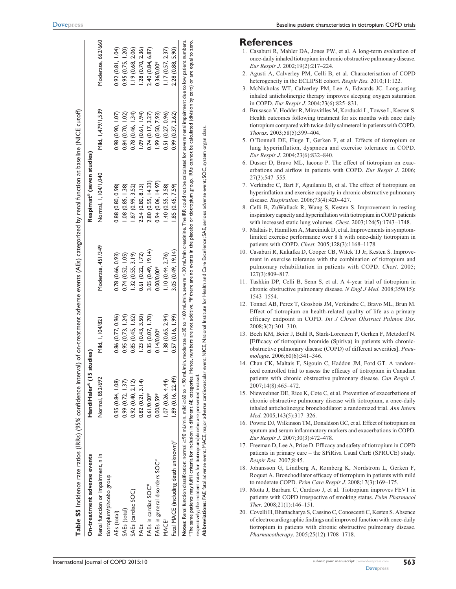| On-treatment adverse events                                                                                                                                                                                                    | HandiHaler® (15    | studies)         |                   | Respimat <sup>®</sup> (seven studies)                                                                                                                           |                   |                   |
|--------------------------------------------------------------------------------------------------------------------------------------------------------------------------------------------------------------------------------|--------------------|------------------|-------------------|-----------------------------------------------------------------------------------------------------------------------------------------------------------------|-------------------|-------------------|
|                                                                                                                                                                                                                                |                    |                  |                   |                                                                                                                                                                 |                   |                   |
| Renal function or impairment, n in                                                                                                                                                                                             | Normal, 852/692    | Mild, 1,104/821  | Moderate, 451/349 | Normal, 1,104/1,040                                                                                                                                             | Mild, 1,479/1,539 | Moderate, 662/660 |
| tiotropium/placebo group                                                                                                                                                                                                       |                    |                  |                   |                                                                                                                                                                 |                   |                   |
| AEs (total)                                                                                                                                                                                                                    | 0.95(0.84, 1.08)   | 0.86(0.77, 0.96) | 0.78(0.66, 0.93)  | 0.88 (0.80, 0.98)                                                                                                                                               | 0.98(0.90, 1.07)  | 0.92(0.81, 1.04)  |
| SAEs (total)                                                                                                                                                                                                                   | 0.99(0.72, 1.37)   | 0.95(0.73, 1.24) | 0.74(0.52, 1.05)  | 1.08(0.85, 1.38)                                                                                                                                                | 0.84(0.70, 1.02)  | 0.95(0.75, 1.20)  |
| SAEs (cardiac SOC)                                                                                                                                                                                                             | 0.92(0.40, 2.12)   | 0.85(0.45, 1.62) | 1.32(0.55, 3.19)  | 1.87 (0.99, 3.52)                                                                                                                                               | 0.78(0.46, 1.34)  | 1.19(0.68, 2.06)  |
| FAE <sub>s</sub>                                                                                                                                                                                                               | 0.82(0.21, 3.14)   | 1.23(0.43, 3.50) | 0.61(0.22, 1.72)  | 2.54 (0.80, 8.13)                                                                                                                                               | 1.09 (0.61, 1.94) | 1.28(0.70, 2.36)  |
| FAEs in cardiac SOC <sup>#</sup>                                                                                                                                                                                               | $0.61/0.00*$       | 0.35(0.07, 1.70) | 3.05(0.49, 19.14) | 2.80(0.55, 14.33)                                                                                                                                               | 0.74(0.17, 3.27)  | 2.40 (0.84, 6.87) |
| FAEs in general disorders SOC <sup>#</sup>                                                                                                                                                                                     | $0.000.59**$       | $0.14/0.00*$     | 0.00/0.00*        | 0.94(0.06, 14.97)                                                                                                                                               | 1.99 (0.50, 7.93) | 0.36/0.00*        |
| MACE#                                                                                                                                                                                                                          | 1.07(0.26, 4.44)   | 1.38(0.65, 2.94) | 1.10(0.44, 2.76)  | 1.40(0.55, 3.58)                                                                                                                                                | 0.51(0.27, 0.96)  | 1.17(0.57, 2.37)  |
| Fatal MACE (including death unknown) <sup>#</sup>                                                                                                                                                                              | 1.89 (0.16, 22.49) | 0.57(0.16, 1.99) | 3.05(0.49, 19.14) | 1.85(0.45, 7.59)                                                                                                                                                | 0.99(0.37, 2.62)  | 2.28 (0.88, 5.90) |
| Notes: Renal function classification: normal ≥90 ml/min, moder = 30 ml/min, moderate ≥30 co <60 ml/min, severe <30 ml/min, creatinine. The IRR could not be calculated for severe renal impairment due to low patient numbers. |                    |                  |                   |                                                                                                                                                                 |                   |                   |
| "The same patients may fulfill criteria for inclusion in different AE categories.                                                                                                                                              |                    |                  |                   | Hence, numbers are not additive. *If there are no events in the placebo or tiotropium group, IRRs cannot be calculated (division by zero) or are equal to zero, |                   |                   |
| respectively; the incident rates for tiotropium/placebo are presented instead.                                                                                                                                                 |                    |                  |                   |                                                                                                                                                                 |                   |                   |

ACE, major adverse cardiovascular event; NICE, National Institute for Health and Care Excellence; SAE, serious adverse event; SOC, system organ class. Abbreviations: FAE, fatal adverse event, MACE, major adverse cardiovascular event, NICE, National Institute for Health and Care Excellence; SAE, serious adverse event; SOC, system organ class **Abbreviations:** FAE, fatal adverse event; M

#### **References**

- 1. Casaburi R, Mahler DA, Jones PW, et al. A long-term evaluation of once-daily inhaled tiotropium in chronic obstructive pulmonary disease. *Eur Respir J.* 2002;19(2):217–224.
- 2. Agusti A, Calverley PM, Celli B, et al. Characterisation of COPD heterogeneity in the ECLIPSE cohort. *Respir Res.* 2010;11:122.
- 3. McNicholas WT, Calverley PM, Lee A, Edwards JC. Long-acting inhaled anticholinergic therapy improves sleeping oxygen saturation in COPD. *Eur Respir J.* 2004;23(6):825–831.
- 4. Brusasco V, Hodder R, Miravitlles M, Korducki L, Towse L, Kesten S. Health outcomes following treatment for six months with once daily tiotropium compared with twice daily salmeterol in patients with COPD. *Thorax.* 2003;58(5):399–404.
- 5. O'Donnell DE, Fluge T, Gerken F, et al. Effects of tiotropium on lung hyperinflation, dyspnoea and exercise tolerance in COPD. *Eur Respir J.* 2004;23(6):832–840.
- 6. Dusser D, Bravo ML, Iacono P. The effect of tiotropium on exacerbations and airflow in patients with COPD. *Eur Respir J.* 2006; 27(3):547–555.
- 7. Verkindre C, Bart F, Aguilaniu B, et al. The effect of tiotropium on hyperinflation and exercise capacity in chronic obstructive pulmonary disease. *Respiration.* 2006;73(4):420–427.
- 8. Celli B, ZuWallack R, Wang S, Kesten S. Improvement in resting inspiratory capacity and hyperinflation with tiotropium in COPD patients with increased static lung volumes. *Chest.* 2003;124(5):1743–1748.
- 9. Maltais F, Hamilton A, Marciniuk D, et al. Improvements in symptomlimited exercise performance over 8 h with once-daily tiotropium in patients with COPD. *Chest.* 2005;128(3):1168–1178.
- 10. Casaburi R, Kukafka D, Cooper CB, Witek TJ Jr, Kesten S. Improvement in exercise tolerance with the combination of tiotropium and pulmonary rehabilitation in patients with COPD. *Chest.* 2005; 127(3):809–817.
- 11. Tashkin DP, Celli B, Senn S, et al. A 4-year trial of tiotropium in chronic obstructive pulmonary disease. *N Engl J Med.* 2008;359(15): 1543–1554.
- 12. Tonnel AB, Perez T, Grosbois JM, Verkindre C, Bravo ML, Brun M. Effect of tiotropium on health-related quality of life as a primary efficacy endpoint in COPD. *Int J Chron Obstruct Pulmon Dis.* 2008;3(2):301–310.
- 13. Beeh KM, Beier J, Buhl R, Stark-Lorenzen P, Gerken F, Metzdorf N. [Efficacy of tiotropium bromide (Spiriva) in patients with chronicobstructive pulmonary disease (COPD) of different severities]. *Pneumologie.* 2006;60(6):341–346.
- 14. Chan CK, Maltais F, Sigouin C, Haddon JM, Ford GT. A randomized controlled trial to assess the efficacy of tiotropium in Canadian patients with chronic obstructive pulmonary disease. *Can Respir J.* 2007;14(8):465–472.
- 15. Niewoehner DE, Rice K, Cote C, et al. Prevention of exacerbations of chronic obstructive pulmonary disease with tiotropium, a once-daily inhaled anticholinergic bronchodilator: a randomized trial. *Ann Intern Med.* 2005;143(5):317–326.
- 16. Powrie DJ, Wilkinson TM, Donaldson GC, et al. Effect of tiotropium on sputum and serum inflammatory markers and exacerbations in COPD. *Eur Respir J.* 2007;30(3):472–478.
- 17. Freeman D, Lee A, Price D. Efficacy and safety of tiotropium in COPD patients in primary care – the SPiRiva Usual CarE (SPRUCE) study. *Respir Res.* 2007;8:45.
- 18. Johansson G, Lindberg A, Romberg K, Nordstrom L, Gerken F, Roquet A. Bronchodilator efficacy of tiotropium in patients with mild to moderate COPD. *Prim Care Respir J.* 2008;17(3):169–175.
- 19. Moita J, Barbara C, Cardoso J, et al. Tiotropium improves FEV1 in patients with COPD irrespective of smoking status. *Pulm Pharmacol Ther.* 2008;21(1):146–151.
- 20. Covelli H, Bhattacharya S, Cassino C, Conoscenti C, Kesten S. Absence of electrocardiographic findings and improved function with once-daily tiotropium in patients with chronic obstructive pulmonary disease. *Pharmacotherapy.* 2005;25(12):1708–1718.